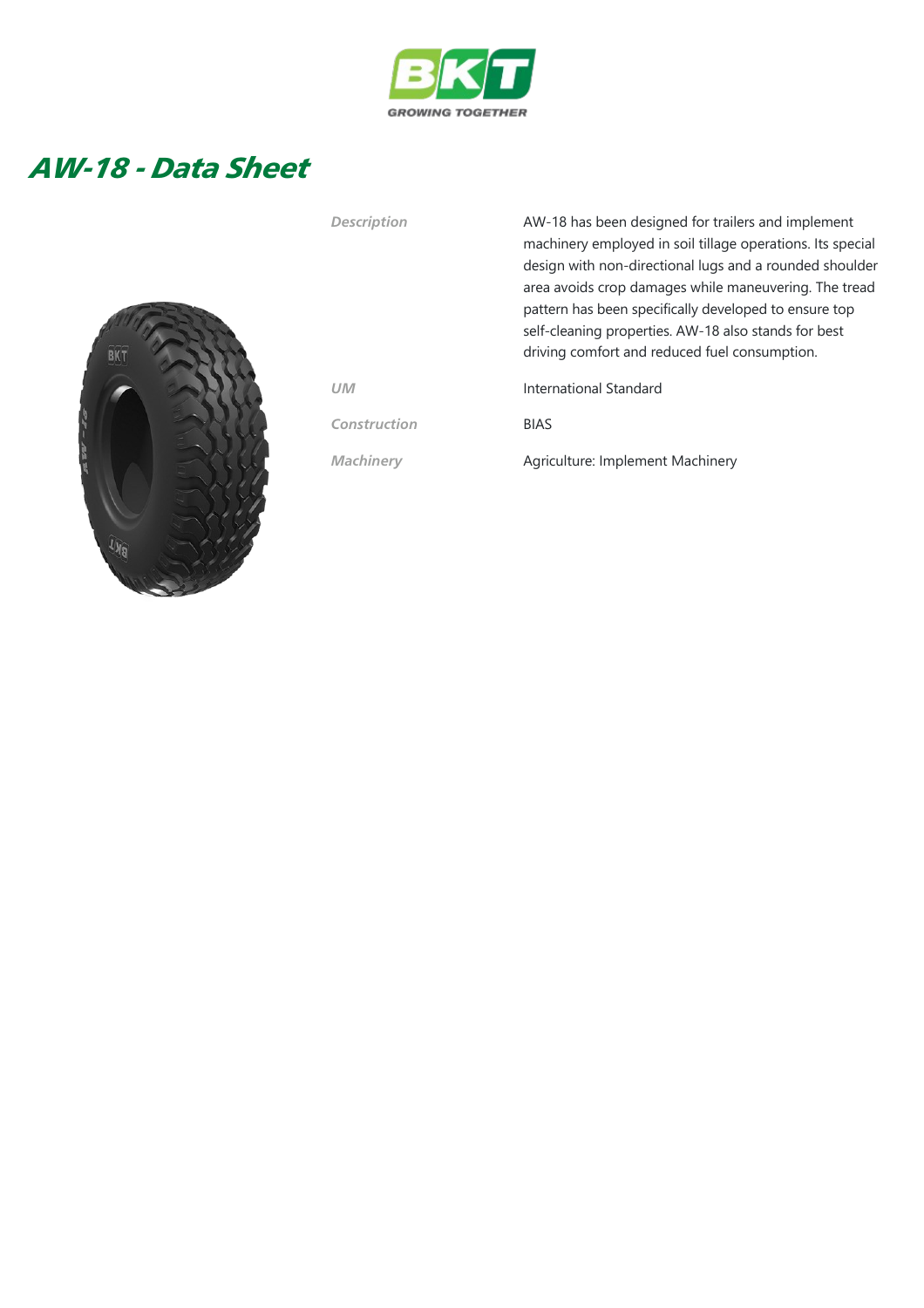

## AW-18 - Data Sheet



Description MW-18 has been designed for trailers and implement machinery employed in soil tillage operations. Its special design with non‐directional lugs and a rounded shoulder area avoids crop damages while maneuvering. The tread pattern has been specifically developed to ensure top self-cleaning properties. AW-18 also stands for best driving comfort and reduced fuel consumption.

UM International Standard

Construction BIAS

Machinery **Agriculture: Implement Machinery**